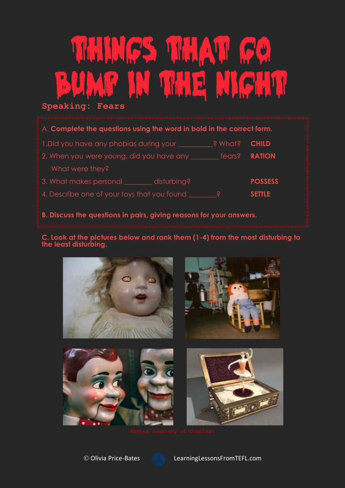# THINGS THAT GO **BUMP IN THE MIGHT**  $\bullet$ n.

| A. Complete the questions using the word in bold in the correct form. |                |  |  |  |
|-----------------------------------------------------------------------|----------------|--|--|--|
| 1. Did you have any phobias during your ____<br>s Mhats               | <b>CHILD</b>   |  |  |  |
| 2. When you were young, did you have any _______ fears?               | <b>RATION</b>  |  |  |  |
| What were they?                                                       |                |  |  |  |
| 3. What makes personal ________ disturbing?                           | <b>POSSESS</b> |  |  |  |
| 4. Describe one of your toys that you found<br>S                      | <b>SETTLE</b>  |  |  |  |

## **B. Discuss the questions in pairs, giving reasons for your answers.**

#### **C. Look at the pictures below and rank them (1-4) from the most disturbing to the least disturbing.**



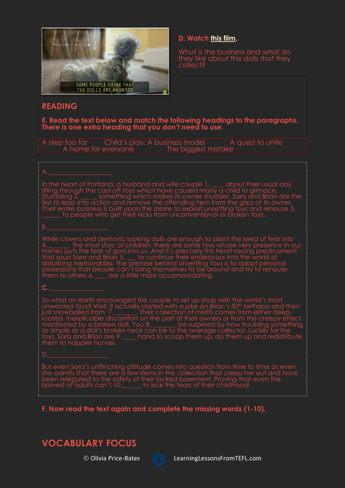

# **READING**

#### **D. Watch this [film.](https://www.yout-ube.com/watch?v=QSOdcq7oceQ)**

What is the business and what do they like about the dolls that they collect?

**E. Read the text below and match the following headings to the paragraphs. There is one extra heading that you don't need to use.**

A step too far Child's play: A business model A quest to unite A home for everyone The biggest mistake

In the heart of Portland, a husband and wife couple 1. \_\_\_\_ about their usual day rifling through the cast-off toys which have caused many  $\overline{\text{a}}$  child to grimace. Stumbling 2. \_\_\_\_\_ something which makes its owner shudder, Sara and Brian are the first to leap into action and remove the offending item from the grips of its owner. Their entire business is built upon the desire to exploit unsettling toys and rehouse 3. \_\_\_\_\_\_ to people who get their kicks from unconventional or broken toys.

B.\_\_\_\_\_\_\_\_\_\_\_\_\_\_\_\_\_\_\_

While clowns and demonic looking dolls are enough to plant the seed of fear into 4.\_\_\_\_\_\_\_ the most stoic of children, there are some toys whose very presence in our homes puts the fear of god into us. And it's precisely this heart-racing predicament that spurs Sara and Brian 5. \_\_\_ to continue their endeavour into the world of disturbing memorabilia. The premise behind Unsettling Toys is to adopt personal possessions that people can't bring themselves to be around and try to rehouse them to others 6.\_\_\_\_ are a little more accommodating.

**C. \_\_\_\_\_\_\_\_\_\_\_\_\_\_\_\_\_**

So what on earth encouraged this couple to set up shop with the world's most unwanted toys? Well, it actually started with a joke on Brian's 50th birthday and then just snowballed from 7.\_\_\_\_\_\_\_\_. Their collection of misfits comes from either deeprooted, inexplicable discomfort on the part of their owners or from the creepy effect manifested by a broken doll. You 8.\_\_\_\_\_\_\_\_ be surprised by how troubling something as simple as a doll's broken neck can be to the average collector. Luckily for the toys, Sara and Brian are 9. \_\_\_\_ hand to scoop them up, do them up and redistribute them to happier homes.

But even Sara's unflinching attitude comes into question from time to time as even she admits that there are a few items in the collection that creep her out and have been relegated to the safety of their locked basement. Proving that even the bravest of adults can't 10.\_\_\_\_\_ to kick the fears of their childhood!

**F. Now read the text again and complete the missing words (1-10).**





© Olivia Price-Bates LearningLessonsFromTEFL.com